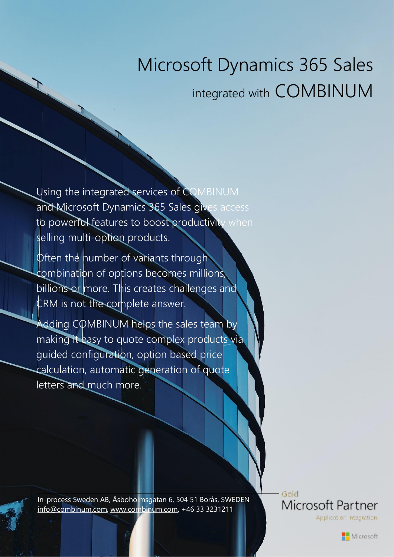# Microsoft Dynamics 365 Sales integrated with COMBINUM

Using the integrated services of COMBINUM and Microsoft Dynamics 365 Sales gives access to powerful features to boost productivity when selling multi-option products.

Often the number of variants through combination of options becomes millions, billions or more. This creates challenges and CRM is not the complete answer.

Adding COMBINUM helps the sales team by making it easy to quote complex products via guided configuration, option based price calculation, automatic generation of quote letters and much more.

In-process Sweden AB, Åsboholmsgatan 6, 504 51 Borås, SWEDEN [info@combinum.com,](mailto:info@combinum.com) [www.combinum.com,](http://www.combinum.com/) +46 33 3231211

Gold Microsoft Partner Application Integration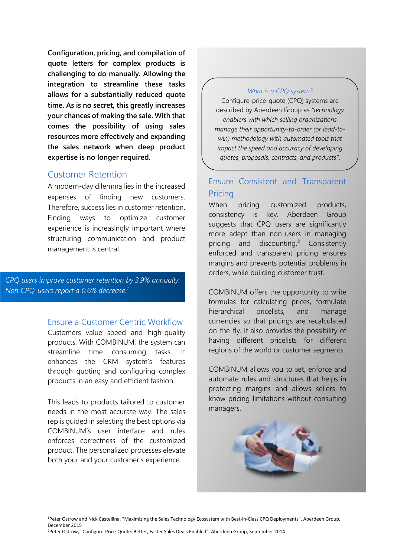**Configuration, pricing, and compilation of quote letters for complex products is challenging to do manually. Allowing the integration to streamline these tasks allows for a substantially reduced quote time. As is no secret, this greatly increases your chances of making the sale. With that comes the possibility of using sales resources more effectively and expanding the sales network when deep product expertise is no longer required.**

# Customer Retention

A modern-day dilemma lies in the increased expenses of finding new customers. Therefore, success lies in customer retention. Finding ways to optimize customer experience is increasingly important where structuring communication and product management is central.

*CPQ users improve customer retention by 3.9% annually. Non CPQ-users report a 0.6% decrease.<sup>1</sup>*

# Ensure a Customer Centric Workflow

Customers value speed and high-quality products. With COMBINUM, the system can streamline time consuming tasks. It enhances the CRM system's features through quoting and configuring complex products in an easy and efficient fashion.

This leads to products tailored to customer needs in the most accurate way. The sales rep is guided in selecting the best options via COMBINUM's user interface and rules enforces correctness of the customized product. The personalized processes elevate both your and your customer's experience.

#### *What is a CPQ system?*

Configure-price-quote (CPQ) systems are described by Aberdeen Group as *"technology enablers with which selling organizations manage their opportunity-to-order (or lead-towin) methodology with automated tools that impact the speed and accuracy of developing quotes, proposals, contracts, and products"*.

# Ensure Consistent and Transparent **Pricing**

When pricing customized products, consistency is key. Aberdeen Group suggests that CPQ users are significantly more adept than non-users in managing pricing and discounting.<sup>2</sup> **Consistently** enforced and transparent pricing ensures margins and prevents potential problems in orders, while building customer trust.

COMBINUM offers the opportunity to write formulas for calculating prices, formulate hierarchical pricelists, and manage currencies so that pricings are recalculated on-the-fly. It also provides the possibility of having different pricelists for different regions of the world or customer segments.

COMBINUM allows you to set, enforce and automate rules and structures that helps in protecting margins and allows sellers to know pricing limitations without consulting managers.

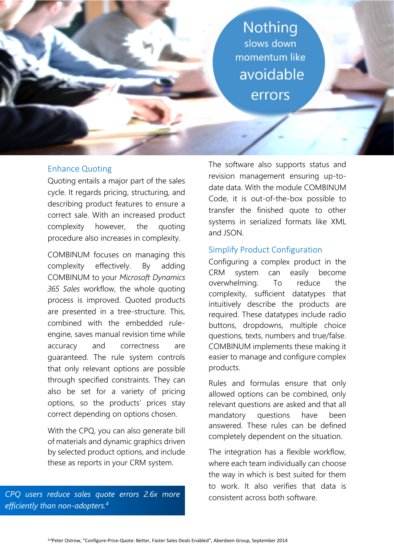**Nothing** slows down momentum like avoidable errors

## Enhance Quoting

Quoting entails a major part of the sales cycle. It regards pricing, structuring, and describing product features to ensure a correct sale. With an increased product complexity however, the quoting procedure also increases in complexity.

COMBINUM focuses on managing this complexity effectively. By adding COMBINUM to your *Microsoft Dynamics 365 Sales* workflow, the whole quoting process is improved. Quoted products are presented in a tree-structure. This, combined with the embedded ruleengine, saves manual revision time while accuracy and correctness are guaranteed. The rule system controls that only relevant options are possible through specified constraints. They can also be set for a variety of pricing options, so the products' prices stay correct depending on options chosen.

With the CPQ, you can also generate bill of materials and dynamic graphics driven by selected product options, and include these as reports in your CRM system.

*CPQ users reduce sales quote errors 2.6x more efficiently than non-adopters. 4*

The software also supports status and revision management ensuring up-todate data. With the module COMBINUM Code, it is out-of-the-box possible to transfer the finished quote to other systems in serialized formats like XML and JSON.

## Simplify Product Configuration

Configuring a complex product in the CRM system can easily become overwhelming. To reduce the complexity, sufficient datatypes that intuitively describe the products are required. These datatypes include radio buttons, dropdowns, multiple choice questions, texts, numbers and true/false. COMBINUM implements these making it easier to manage and configure complex products.

Rules and formulas ensure that only allowed options can be combined, only relevant questions are asked and that all mandatory questions have been answered. These rules can be defined completely dependent on the situation.

The integration has a flexible workflow, where each team individually can choose the way in which is best suited for them to work. It also verifies that data is consistent across both software.